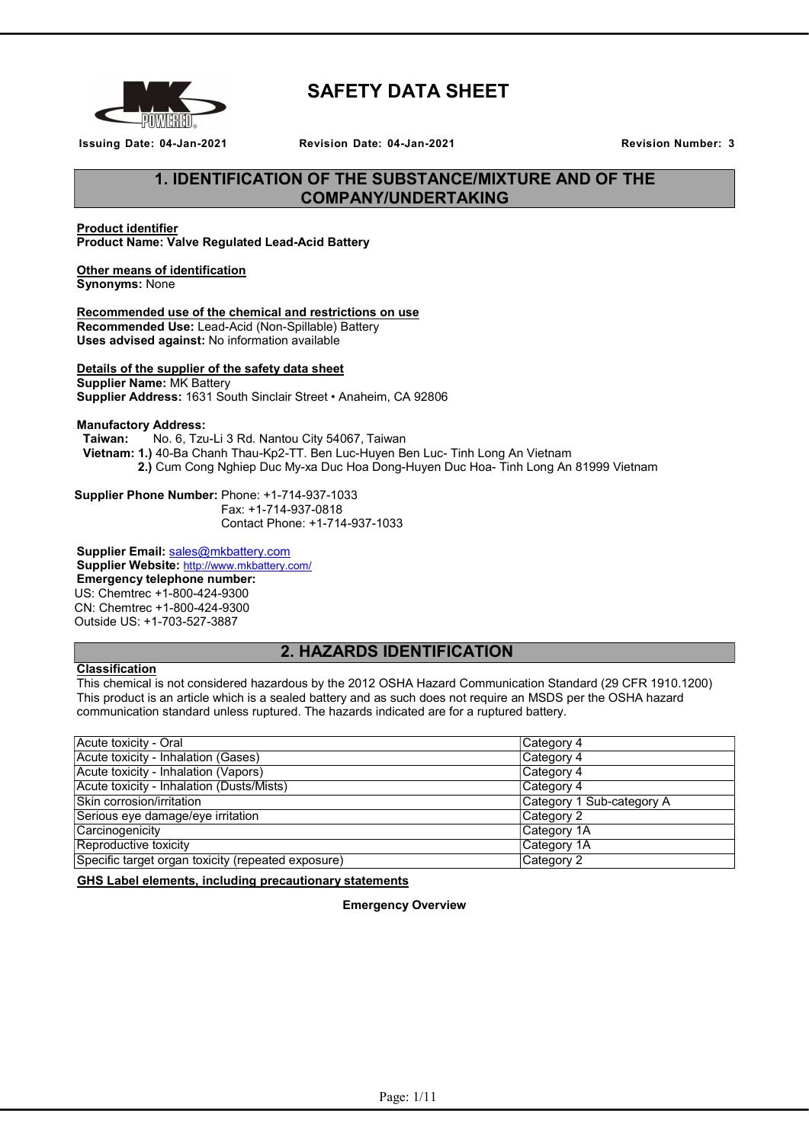

# SAFETY DATA SHEET

Issuing Date: 04-Jan-2021 Revision Date: 04-Jan-2021 Revision Number: 3

# 1. IDENTIFICATION OF THE SUBSTANCE/MIXTURE AND OF THE COMPANY/UNDERTAKING

# Product identifier

Product Name: Valve Regulated Lead-Acid Battery

# Other means of identification

Synonyms: None

#### Recommended use of the chemical and restrictions on use Recommended Use: Lead-Acid (Non-Spillable) Battery Uses advised against: No information available

# Details of the supplier of the safety data sheet

Supplier Name: MK Battery Supplier Address: 1631 South Sinclair Street • Anaheim, CA 92806

#### Manufactory Address:

Taiwan: No. 6, Tzu-Li 3 Rd. Nantou City 54067, Taiwan Vietnam: 1.) 40-Ba Chanh Thau-Kp2-TT. Ben Luc-Huyen Ben Luc- Tinh Long An Vietnam 2.) Cum Cong Nghiep Duc My-xa Duc Hoa Dong-Huyen Duc Hoa- Tinh Long An 81999 Vietnam

Supplier Phone Number: Phone: +1-714-937-1033 Fax: +1-714-937-0818 Contact Phone: +1-714-937-1033

Supplier Email: sales@mkbattery.com Supplier Website: http://www.mkbattery.com/ Emergency telephone number: US: Chemtrec +1-800-424-9300 CN: Chemtrec +1-800-424-9300 Outside US: +1-703-527-3887

# 2. HAZARDS IDENTIFICATION

#### Classification

This chemical is not considered hazardous by the 2012 OSHA Hazard Communication Standard (29 CFR 1910.1200) This product is an article which is a sealed battery and as such does not require an MSDS per the OSHA hazard communication standard unless ruptured. The hazards indicated are for a ruptured battery.

| Acute toxicity - Oral                              | ∣Category 4               |
|----------------------------------------------------|---------------------------|
| Acute toxicity - Inhalation (Gases)                | Category 4                |
| Acute toxicity - Inhalation (Vapors)               | Category 4                |
| Acute toxicity - Inhalation (Dusts/Mists)          | Category 4                |
| Skin corrosion/irritation                          | Category 1 Sub-category A |
| Serious eye damage/eye irritation                  | ∣Category 2               |
| Carcinogenicity                                    | ∣Category 1A              |
| Reproductive toxicity                              | Category 1A               |
| Specific target organ toxicity (repeated exposure) | Category 2                |

GHS Label elements, including precautionary statements

Emergency Overview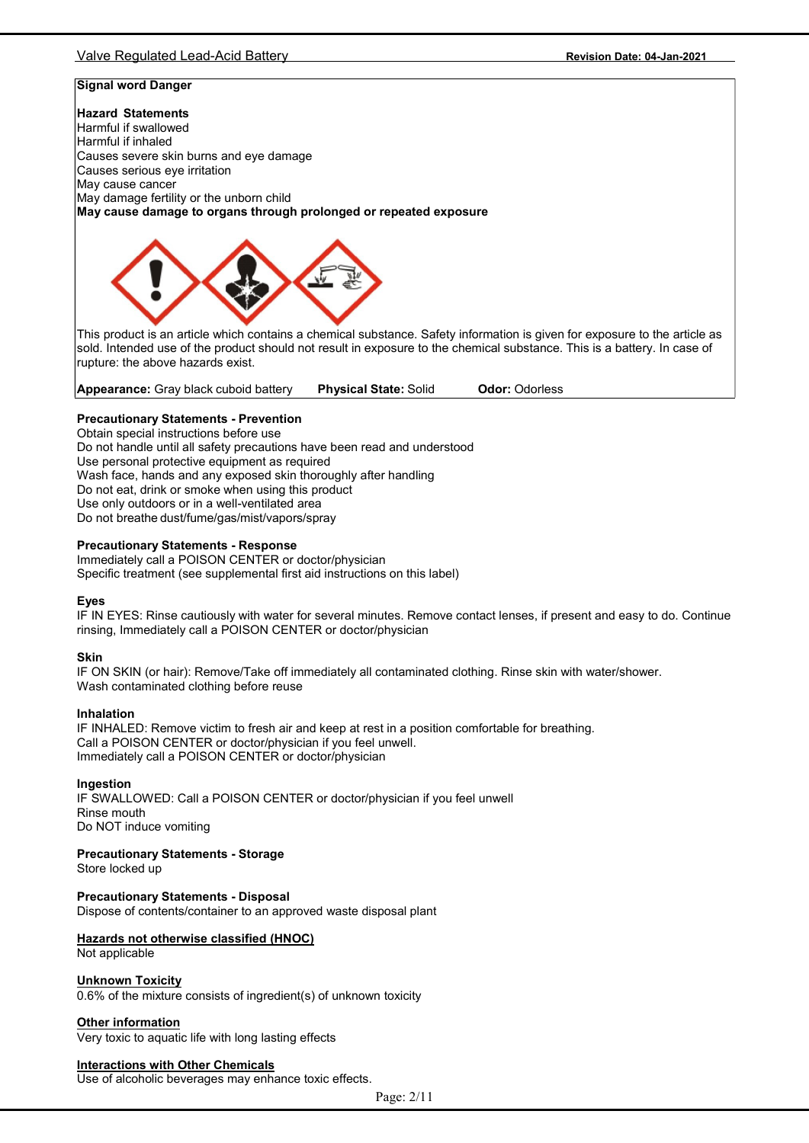# Valve Regulated Lead-Acid Battery Revision Date: 04-Jan-2021

# Signal word Danger

#### Hazard Statements

Harmful if swallowed Harmful if inhaled Causes severe skin burns and eye damage Causes serious eye irritation May cause cancer May damage fertility or the unborn child May cause damage to organs through prolonged or repeated exposure



This product is an article which contains a chemical substance. Safety information is given for exposure to the article as sold. Intended use of the product should not result in exposure to the chemical substance. This is a battery. In case of rupture: the above hazards exist.

Appearance: Gray black cuboid battery Physical State: Solid Odor: Odorless

#### Precautionary Statements - Prevention

Obtain special instructions before use Do not handle until all safety precautions have been read and understood Use personal protective equipment as required Wash face, hands and any exposed skin thoroughly after handling Do not eat, drink or smoke when using this product Use only outdoors or in a well-ventilated area Do not breathe dust/fume/gas/mist/vapors/spray

#### Precautionary Statements - Response

Immediately call a POISON CENTER or doctor/physician Specific treatment (see supplemental first aid instructions on this label)

#### Eyes

IF IN EYES: Rinse cautiously with water for several minutes. Remove contact lenses, if present and easy to do. Continue rinsing, Immediately call a POISON CENTER or doctor/physician

#### Skin

IF ON SKIN (or hair): Remove/Take off immediately all contaminated clothing. Rinse skin with water/shower. Wash contaminated clothing before reuse

#### Inhalation

IF INHALED: Remove victim to fresh air and keep at rest in a position comfortable for breathing. Call a POISON CENTER or doctor/physician if you feel unwell. Immediately call a POISON CENTER or doctor/physician

#### Ingestion

IF SWALLOWED: Call a POISON CENTER or doctor/physician if you feel unwell Rinse mouth Do NOT induce vomiting

# Precautionary Statements - Storage

Store locked up

#### Precautionary Statements - Disposal

Dispose of contents/container to an approved waste disposal plant

# Hazards not otherwise classified (HNOC)

Not applicable

#### Unknown Toxicity

0.6% of the mixture consists of ingredient(s) of unknown toxicity

#### Other information

Very toxic to aquatic life with long lasting effects

#### Interactions with Other Chemicals

Use of alcoholic beverages may enhance toxic effects.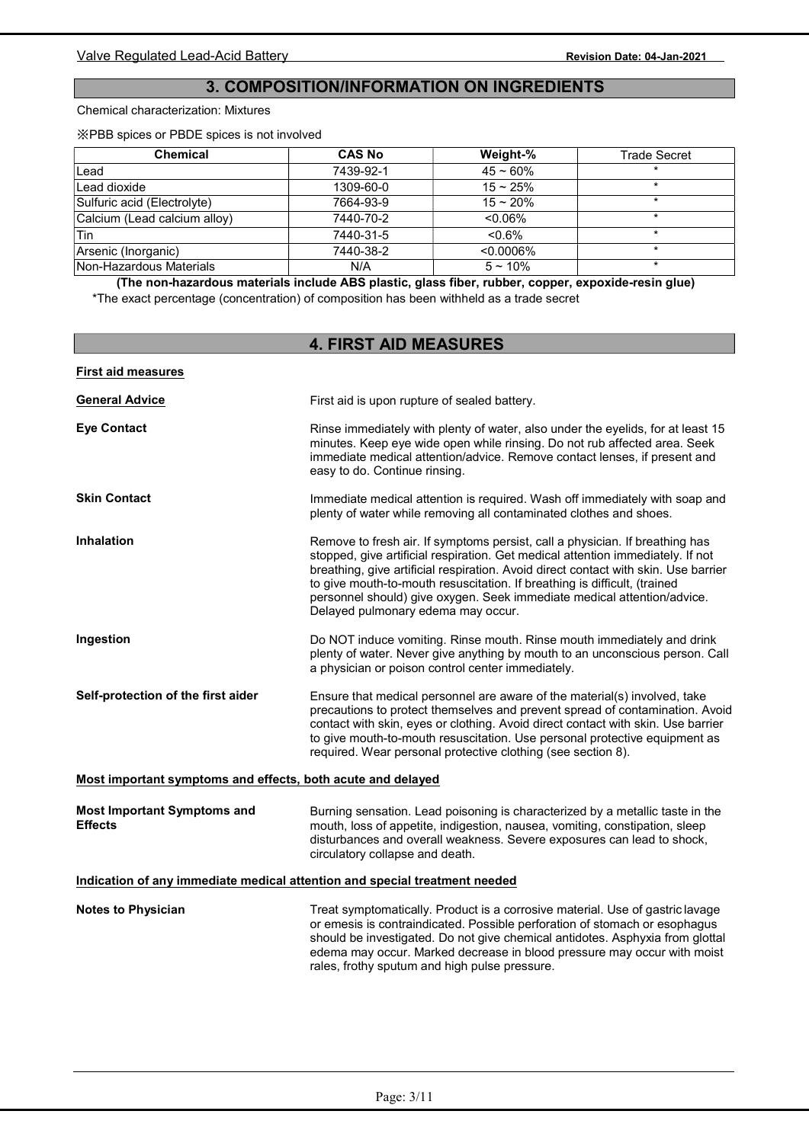# 3. COMPOSITION/INFORMATION ON INGREDIENTS

#### Chemical characterization: Mixtures

First aid measures

※PBB spices or PBDE spices is not involved

| <b>Chemical</b>              | <b>CAS No</b> | Weight-%     | <b>Trade Secret</b> |
|------------------------------|---------------|--------------|---------------------|
| ∣Lead                        | 7439-92-1     | $45 - 60%$   |                     |
| Lead dioxide                 | 1309-60-0     | $15 - 25%$   |                     |
| Sulfuric acid (Electrolyte)  | 7664-93-9     | $15 - 20%$   |                     |
| Calcium (Lead calcium alloy) | 7440-70-2     | $< 0.06\%$   |                     |
| 'Tin                         | 7440-31-5     | $< 0.6\%$    |                     |
| Arsenic (Inorganic)          | 7440-38-2     | $< 0.0006\%$ |                     |
| Non-Hazardous Materials      | N/A           | $5 - 10\%$   |                     |

(The non-hazardous materials include ABS plastic, glass fiber, rubber, copper, expoxide-resin glue) \*The exact percentage (concentration) of composition has been withheld as a trade secret

# 4. FIRST AID MEASURES

| <b>General Advice</b>                                       | First aid is upon rupture of sealed battery.                                                                                                                                                                                                                                                                                                                                                                                                         |
|-------------------------------------------------------------|------------------------------------------------------------------------------------------------------------------------------------------------------------------------------------------------------------------------------------------------------------------------------------------------------------------------------------------------------------------------------------------------------------------------------------------------------|
| <b>Eye Contact</b>                                          | Rinse immediately with plenty of water, also under the eyelids, for at least 15<br>minutes. Keep eye wide open while rinsing. Do not rub affected area. Seek<br>immediate medical attention/advice. Remove contact lenses, if present and<br>easy to do. Continue rinsing.                                                                                                                                                                           |
| <b>Skin Contact</b>                                         | Immediate medical attention is required. Wash off immediately with soap and<br>plenty of water while removing all contaminated clothes and shoes.                                                                                                                                                                                                                                                                                                    |
| Inhalation                                                  | Remove to fresh air. If symptoms persist, call a physician. If breathing has<br>stopped, give artificial respiration. Get medical attention immediately. If not<br>breathing, give artificial respiration. Avoid direct contact with skin. Use barrier<br>to give mouth-to-mouth resuscitation. If breathing is difficult, (trained<br>personnel should) give oxygen. Seek immediate medical attention/advice.<br>Delayed pulmonary edema may occur. |
| Ingestion                                                   | Do NOT induce vomiting. Rinse mouth. Rinse mouth immediately and drink<br>plenty of water. Never give anything by mouth to an unconscious person. Call<br>a physician or poison control center immediately.                                                                                                                                                                                                                                          |
| Self-protection of the first aider                          | Ensure that medical personnel are aware of the material(s) involved, take<br>precautions to protect themselves and prevent spread of contamination. Avoid<br>contact with skin, eyes or clothing. Avoid direct contact with skin. Use barrier<br>to give mouth-to-mouth resuscitation. Use personal protective equipment as<br>required. Wear personal protective clothing (see section 8).                                                          |
| Most important symptoms and effects, both acute and delayed |                                                                                                                                                                                                                                                                                                                                                                                                                                                      |
| <b>Most Important Symptoms and</b><br><b>Effects</b>        | Burning sensation. Lead poisoning is characterized by a metallic taste in the<br>mouth, loss of appetite, indigestion, nausea, vomiting, constipation, sleep<br>disturbances and overall weakness. Severe exposures can lead to shock,<br>circulatory collapse and death.                                                                                                                                                                            |

# Indication of any immediate medical attention and special treatment needed

Notes to Physician Treat symptomatically. Product is a corrosive material. Use of gastric lavage or emesis is contraindicated. Possible perforation of stomach or esophagus should be investigated. Do not give chemical antidotes. Asphyxia from glottal edema may occur. Marked decrease in blood pressure may occur with moist rales, frothy sputum and high pulse pressure.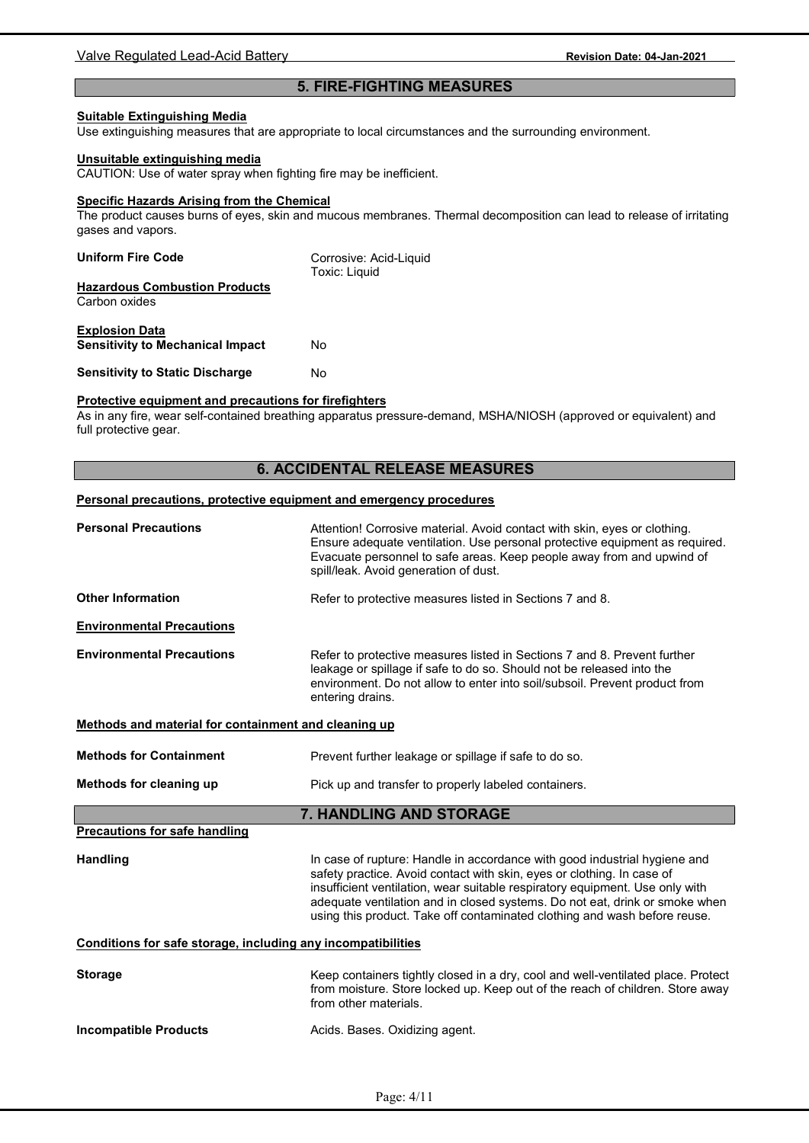# 5. FIRE-FIGHTING MEASURES

#### Suitable Extinguishing Media

Use extinguishing measures that are appropriate to local circumstances and the surrounding environment.

#### Unsuitable extinguishing media

CAUTION: Use of water spray when fighting fire may be inefficient.

## Specific Hazards Arising from the Chemical

The product causes burns of eyes, skin and mucous membranes. Thermal decomposition can lead to release of irritating gases and vapors.

| <b>Uniform Fire Code</b>                | Corrosive: Acid-Liquid<br><b>Toxic: Liquid</b> |
|-----------------------------------------|------------------------------------------------|
| <b>Hazardous Combustion Products</b>    |                                                |
| Carbon oxides                           |                                                |
|                                         |                                                |
| <b>Explosion Data</b>                   |                                                |
| <b>Sensitivity to Mechanical Impact</b> | No                                             |
|                                         |                                                |
| <b>Sensitivity to Static Discharge</b>  | No                                             |

## Protective equipment and precautions for firefighters

As in any fire, wear self-contained breathing apparatus pressure-demand, MSHA/NIOSH (approved or equivalent) and full protective gear.

# 6. ACCIDENTAL RELEASE MEASURES

# Personal precautions, protective equipment and emergency procedures

| <b>Personal Precautions</b>                                  | Attention! Corrosive material. Avoid contact with skin, eyes or clothing.<br>Ensure adequate ventilation. Use personal protective equipment as required.<br>Evacuate personnel to safe areas. Keep people away from and upwind of<br>spill/leak. Avoid generation of dust.                                         |
|--------------------------------------------------------------|--------------------------------------------------------------------------------------------------------------------------------------------------------------------------------------------------------------------------------------------------------------------------------------------------------------------|
| <b>Other Information</b>                                     | Refer to protective measures listed in Sections 7 and 8.                                                                                                                                                                                                                                                           |
| <b>Environmental Precautions</b>                             |                                                                                                                                                                                                                                                                                                                    |
| <b>Environmental Precautions</b>                             | Refer to protective measures listed in Sections 7 and 8. Prevent further<br>leakage or spillage if safe to do so. Should not be released into the<br>environment. Do not allow to enter into soil/subsoil. Prevent product from<br>entering drains.                                                                |
| Methods and material for containment and cleaning up         |                                                                                                                                                                                                                                                                                                                    |
| <b>Methods for Containment</b>                               | Prevent further leakage or spillage if safe to do so.                                                                                                                                                                                                                                                              |
| Methods for cleaning up                                      | Pick up and transfer to properly labeled containers.                                                                                                                                                                                                                                                               |
|                                                              | <b>7. HANDLING AND STORAGE</b>                                                                                                                                                                                                                                                                                     |
| <b>Precautions for safe handling</b>                         |                                                                                                                                                                                                                                                                                                                    |
| <b>Handling</b>                                              | In case of rupture: Handle in accordance with good industrial hygiene and                                                                                                                                                                                                                                          |
|                                                              | safety practice. Avoid contact with skin, eyes or clothing. In case of<br>insufficient ventilation, wear suitable respiratory equipment. Use only with<br>adequate ventilation and in closed systems. Do not eat, drink or smoke when<br>using this product. Take off contaminated clothing and wash before reuse. |
| Conditions for safe storage, including any incompatibilities |                                                                                                                                                                                                                                                                                                                    |
| <b>Storage</b>                                               | Keep containers tightly closed in a dry, cool and well-ventilated place. Protect<br>from moisture. Store locked up. Keep out of the reach of children. Store away<br>from other materials.                                                                                                                         |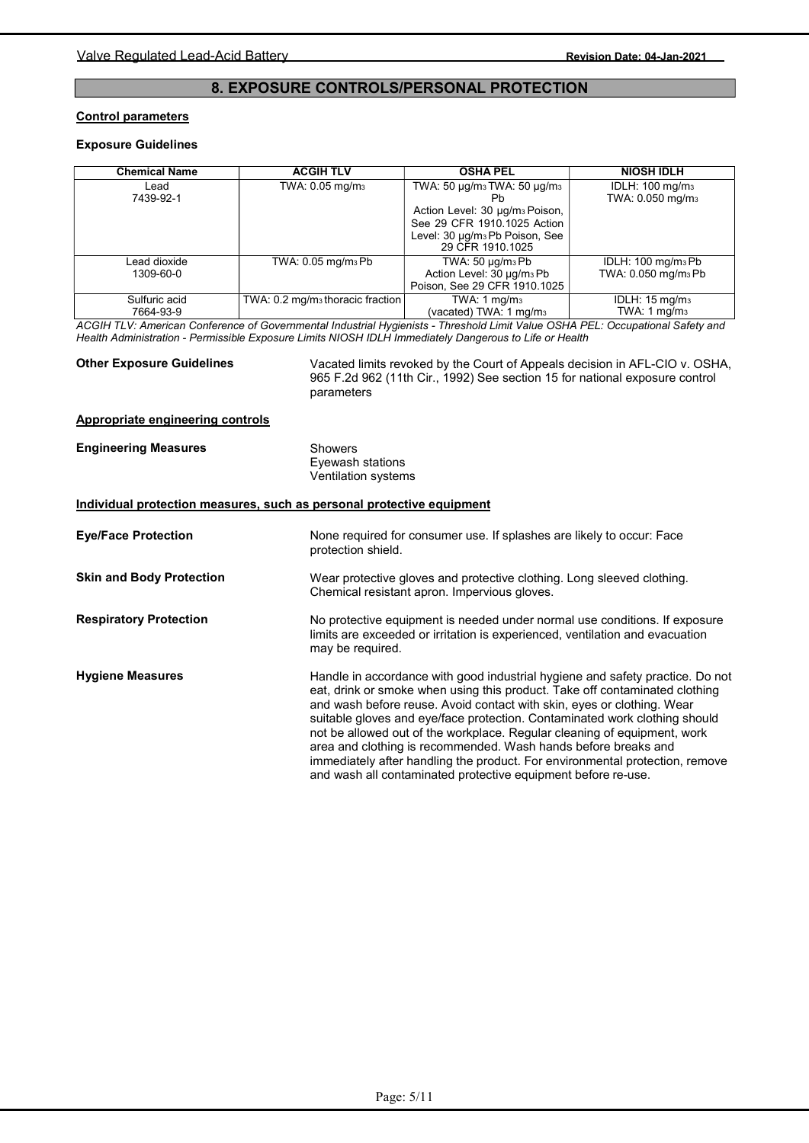# 8. EXPOSURE CONTROLS/PERSONAL PROTECTION

### Control parameters

# Exposure Guidelines

| <b>Chemical Name</b>       | <b>ACGIH TLV</b>                             | <b>OSHA PEL</b>                                                                                                                                                                  | <b>NIOSH IDLH</b>                                                 |
|----------------------------|----------------------------------------------|----------------------------------------------------------------------------------------------------------------------------------------------------------------------------------|-------------------------------------------------------------------|
| ∟ead<br>7439-92-1          | TWA: 0.05 mg/m <sub>3</sub>                  | TWA: 50 µg/m3 TWA: 50 µg/m3<br>Ph<br>Action Level: 30 µg/m <sub>3</sub> Poison,<br>See 29 CFR 1910.1025 Action<br>Level: 30 µg/m <sub>3</sub> Pb Poison, See<br>29 CFR 1910.1025 | IDLH: 100 mg/m <sub>3</sub><br>TWA: 0.050 mg/m <sub>3</sub>       |
| Lead dioxide<br>1309-60-0  | TWA: 0.05 mg/m <sub>3</sub> Pb               | TWA: $50 \mu g/m3 Pb$<br>Action Level: 30 µg/m <sub>3</sub> Pb<br>Poison, See 29 CFR 1910.1025                                                                                   | IDLH: 100 mg/m <sub>3</sub> Pb<br>TWA: 0.050 mg/m <sub>3</sub> Pb |
| Sulfuric acid<br>7664-93-9 | TWA: 0.2 mg/m <sub>3</sub> thoracic fraction | TWA: $1 \text{ mq/m}_3$<br>(vacated) TWA: 1 mg/m <sub>3</sub>                                                                                                                    | IDLH: 15 mg/m <sub>3</sub><br>TWA: 1 mg/m <sub>3</sub>            |

ACGIH TLV: American Conference of Governmental Industrial Hygienists - Threshold Limit Value OSHA PEL: Occupational Safety and Health Administration - Permissible Exposure Limits NIOSH IDLH Immediately Dangerous to Life or Health

## Other Exposure Guidelines

Vacated limits revoked by the Court of Appeals decision in AFL-CIO v. OSHA, 965 F.2d 962 (11th Cir., 1992) See section 15 for national exposure control parameters

#### Appropriate engineering controls

| <b>Engineering Measures</b>     | <b>Showers</b><br>Eyewash stations<br>Ventilation systems                                                                                                                                                                                                                                                                                                                                                                                                                                                                                                                                                           |
|---------------------------------|---------------------------------------------------------------------------------------------------------------------------------------------------------------------------------------------------------------------------------------------------------------------------------------------------------------------------------------------------------------------------------------------------------------------------------------------------------------------------------------------------------------------------------------------------------------------------------------------------------------------|
|                                 | Individual protection measures, such as personal protective equipment                                                                                                                                                                                                                                                                                                                                                                                                                                                                                                                                               |
| <b>Eye/Face Protection</b>      | None required for consumer use. If splashes are likely to occur: Face<br>protection shield.                                                                                                                                                                                                                                                                                                                                                                                                                                                                                                                         |
| <b>Skin and Body Protection</b> | Wear protective gloves and protective clothing. Long sleeved clothing.<br>Chemical resistant apron. Impervious gloves.                                                                                                                                                                                                                                                                                                                                                                                                                                                                                              |
| <b>Respiratory Protection</b>   | No protective equipment is needed under normal use conditions. If exposure<br>limits are exceeded or irritation is experienced, ventilation and evacuation<br>may be required.                                                                                                                                                                                                                                                                                                                                                                                                                                      |
| <b>Hygiene Measures</b>         | Handle in accordance with good industrial hygiene and safety practice. Do not<br>eat, drink or smoke when using this product. Take off contaminated clothing<br>and wash before reuse. Avoid contact with skin, eyes or clothing. Wear<br>suitable gloves and eye/face protection. Contaminated work clothing should<br>not be allowed out of the workplace. Regular cleaning of equipment, work<br>area and clothing is recommended. Wash hands before breaks and<br>immediately after handling the product. For environmental protection, remove<br>and wash all contaminated protective equipment before re-use. |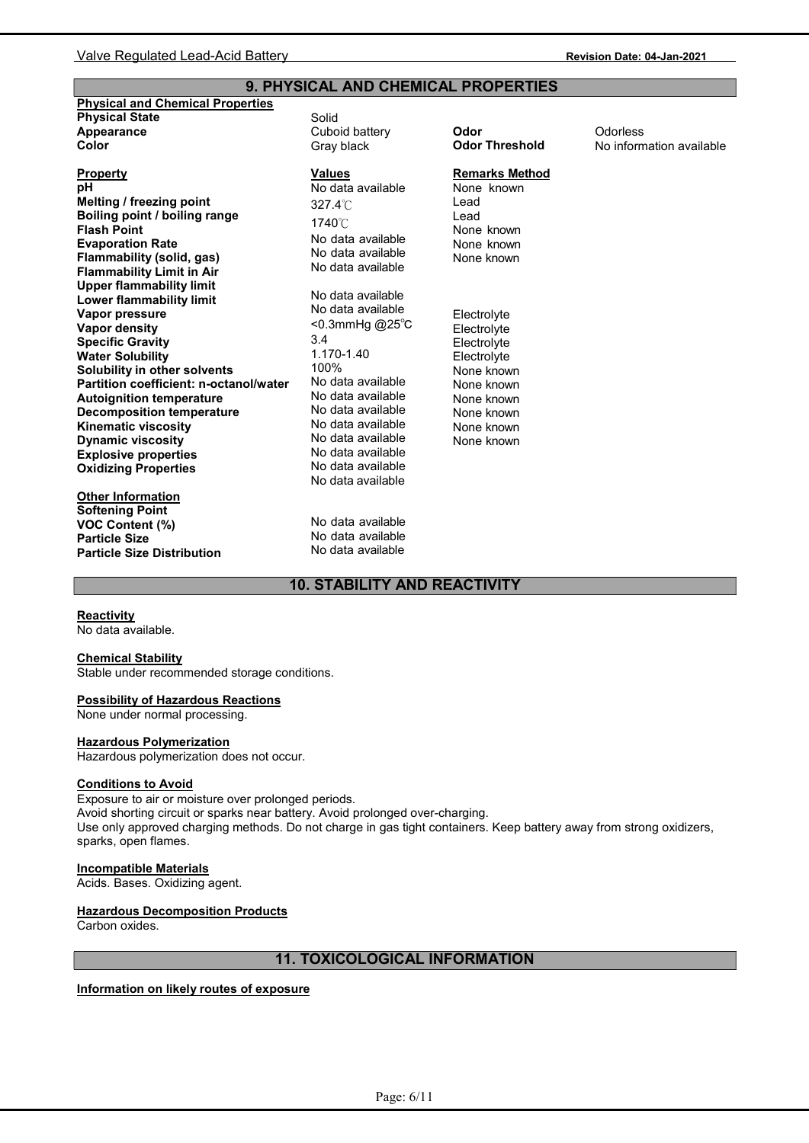# 9. PHYSICAL AND CHEMICAL PROPERTIES

| <b>Physical and Chemical Properties</b> |                   |                       |                          |
|-----------------------------------------|-------------------|-----------------------|--------------------------|
| <b>Physical State</b>                   | Solid             |                       |                          |
| Appearance                              | Cuboid battery    | Odor                  | Odorless                 |
| Color                                   | Gray black        | <b>Odor Threshold</b> | No information available |
|                                         |                   |                       |                          |
| <b>Property</b>                         | <b>Values</b>     | <b>Remarks Method</b> |                          |
| pН                                      | No data available | None known            |                          |
| Melting / freezing point                | $327.4^{\circ}$   | Lead                  |                          |
| Boiling point / boiling range           |                   | Lead                  |                          |
| <b>Flash Point</b>                      | 1740°C            | None known            |                          |
| <b>Evaporation Rate</b>                 | No data available | None known            |                          |
| Flammability (solid, gas)               | No data available | None known            |                          |
| <b>Flammability Limit in Air</b>        | No data available |                       |                          |
| <b>Upper flammability limit</b>         |                   |                       |                          |
| <b>Lower flammability limit</b>         | No data available |                       |                          |
| Vapor pressure                          | No data available | Electrolyte           |                          |
| Vapor density                           | <0.3mmHg @25°C    | Electrolyte           |                          |
| <b>Specific Gravity</b>                 | 3.4               | Electrolyte           |                          |
| <b>Water Solubility</b>                 | 1.170-1.40        | Electrolyte           |                          |
| Solubility in other solvents            | 100%              | None known            |                          |
| Partition coefficient: n-octanol/water  | No data available | None known            |                          |
| <b>Autoignition temperature</b>         | No data available | None known            |                          |
| <b>Decomposition temperature</b>        | No data available | None known            |                          |
| <b>Kinematic viscosity</b>              | No data available | None known            |                          |
| <b>Dynamic viscosity</b>                | No data available | None known            |                          |
| <b>Explosive properties</b>             | No data available |                       |                          |
| <b>Oxidizing Properties</b>             | No data available |                       |                          |
|                                         | No data available |                       |                          |
| <b>Other Information</b>                |                   |                       |                          |
| <b>Softening Point</b>                  |                   |                       |                          |
| <b>VOC Content (%)</b>                  | No data available |                       |                          |
| <b>Particle Size</b>                    | No data available |                       |                          |
| <b>Particle Size Distribution</b>       | No data available |                       |                          |

# 10. STABILITY AND REACTIVITY

## **Reactivity**

No data available.

#### Chemical Stability

Stable under recommended storage conditions.

#### Possibility of Hazardous Reactions

None under normal processing.

## Hazardous Polymerization

Hazardous polymerization does not occur.

#### Conditions to Avoid

Exposure to air or moisture over prolonged periods. Avoid shorting circuit or sparks near battery. Avoid prolonged over-charging. Use only approved charging methods. Do not charge in gas tight containers. Keep battery away from strong oxidizers, sparks, open flames.

# Incompatible Materials

Acids. Bases. Oxidizing agent.

#### **Hazardous Decomposition Products**

Carbon oxides.

# 11. TOXICOLOGICAL INFORMATION

Information on likely routes of exposure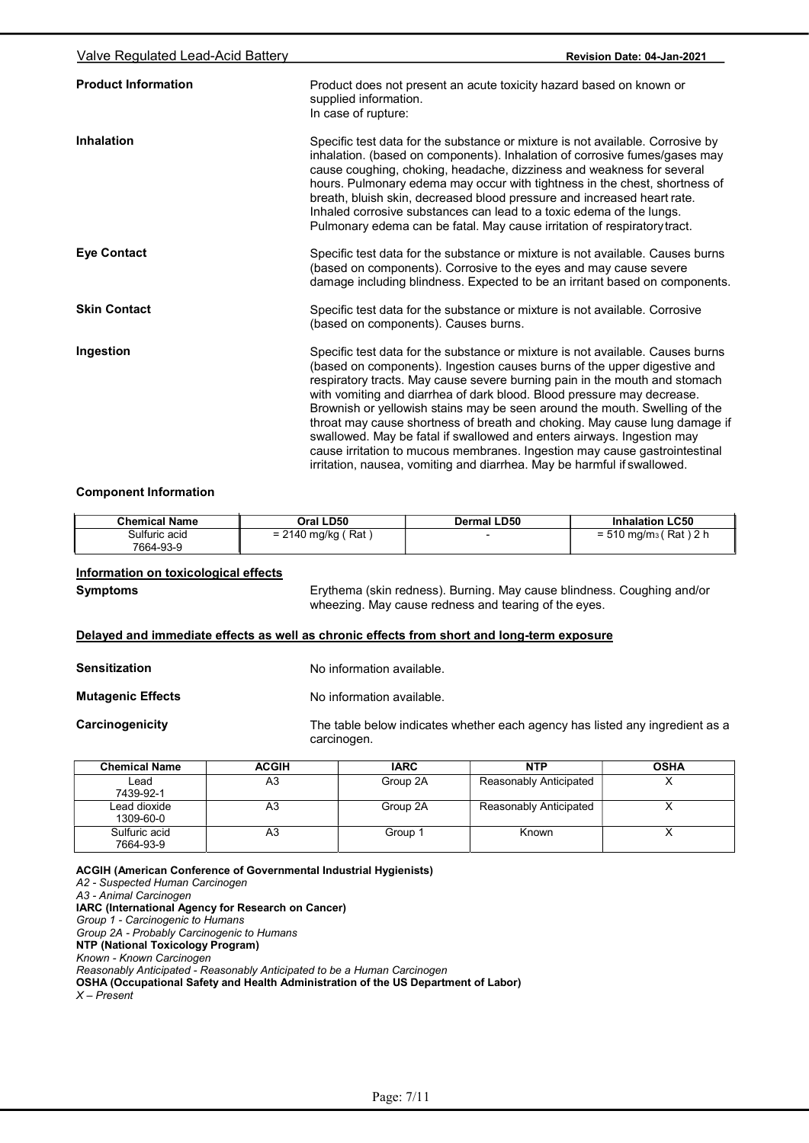| Valve Regulated Lead-Acid Battery | Revision Date: 04-Jan-2021                                                                                                                                                                                                                                                                                                                                                                                                                                                                                                                                                                                                                                                                                        |
|-----------------------------------|-------------------------------------------------------------------------------------------------------------------------------------------------------------------------------------------------------------------------------------------------------------------------------------------------------------------------------------------------------------------------------------------------------------------------------------------------------------------------------------------------------------------------------------------------------------------------------------------------------------------------------------------------------------------------------------------------------------------|
| <b>Product Information</b>        | Product does not present an acute toxicity hazard based on known or<br>supplied information.<br>In case of rupture:                                                                                                                                                                                                                                                                                                                                                                                                                                                                                                                                                                                               |
| Inhalation                        | Specific test data for the substance or mixture is not available. Corrosive by<br>inhalation. (based on components). Inhalation of corrosive fumes/gases may<br>cause coughing, choking, headache, dizziness and weakness for several<br>hours. Pulmonary edema may occur with tightness in the chest, shortness of<br>breath, bluish skin, decreased blood pressure and increased heart rate.<br>Inhaled corrosive substances can lead to a toxic edema of the lungs.<br>Pulmonary edema can be fatal. May cause irritation of respiratory tract.                                                                                                                                                                |
| <b>Eye Contact</b>                | Specific test data for the substance or mixture is not available. Causes burns<br>(based on components). Corrosive to the eyes and may cause severe<br>damage including blindness. Expected to be an irritant based on components.                                                                                                                                                                                                                                                                                                                                                                                                                                                                                |
| <b>Skin Contact</b>               | Specific test data for the substance or mixture is not available. Corrosive<br>(based on components). Causes burns.                                                                                                                                                                                                                                                                                                                                                                                                                                                                                                                                                                                               |
| Ingestion                         | Specific test data for the substance or mixture is not available. Causes burns<br>(based on components). Ingestion causes burns of the upper digestive and<br>respiratory tracts. May cause severe burning pain in the mouth and stomach<br>with vomiting and diarrhea of dark blood. Blood pressure may decrease.<br>Brownish or yellowish stains may be seen around the mouth. Swelling of the<br>throat may cause shortness of breath and choking. May cause lung damage if<br>swallowed. May be fatal if swallowed and enters airways. Ingestion may<br>cause irritation to mucous membranes. Ingestion may cause gastrointestinal<br>irritation, nausea, vomiting and diarrhea. May be harmful if swallowed. |

#### Component Information

| <b>Chemical Name</b> | <b>LD50</b><br>Oral '               | <b>Dermal LD50</b> | <b>Inhalation LC50</b>                                         |
|----------------------|-------------------------------------|--------------------|----------------------------------------------------------------|
| Sulfuric acid        | (Rat<br>$\sqrt{2}$<br>⊧mg/kg<br>14U |                    | ∵Rat ,<br>$\sqrt{2}$<br>510 mg/m <sub>3</sub><br>- 1<br>∣ ∠ II |
| 7664-93-9            |                                     |                    |                                                                |

# Information on toxicological effects

Symptoms Erythema (skin redness). Burning. May cause blindness. Coughing and/or wheezing. May cause redness and tearing of the eyes.

# Delayed and immediate effects as well as chronic effects from short and long-term exposure

Mutagenic Effects No information available.

**Carcinogenicity** 

The table below indicates whether each agency has listed any ingredient as a carcinogen.

| <b>Chemical Name</b>       | <b>ACGIH</b> | <b>IARC</b> | <b>NTP</b>             | <b>OSHA</b> |
|----------------------------|--------------|-------------|------------------------|-------------|
| Lead<br>7439-92-1          | A3           | Group 2A    | Reasonably Anticipated |             |
| Lead dioxide<br>1309-60-0  | A3           | Group 2A    | Reasonably Anticipated |             |
| Sulfuric acid<br>7664-93-9 | A3           | Group 1     | Known                  |             |

ACGIH (American Conference of Governmental Industrial Hygienists) A2 - Suspected Human Carcinogen A3 - Animal Carcinogen IARC (International Agency for Research on Cancer) Group 1 - Carcinogenic to Humans Group 2A - Probably Carcinogenic to Humans NTP (National Toxicology Program) Known - Known Carcinogen Reasonably Anticipated - Reasonably Anticipated to be a Human Carcinogen OSHA (Occupational Safety and Health Administration of the US Department of Labor)  $X -$ Present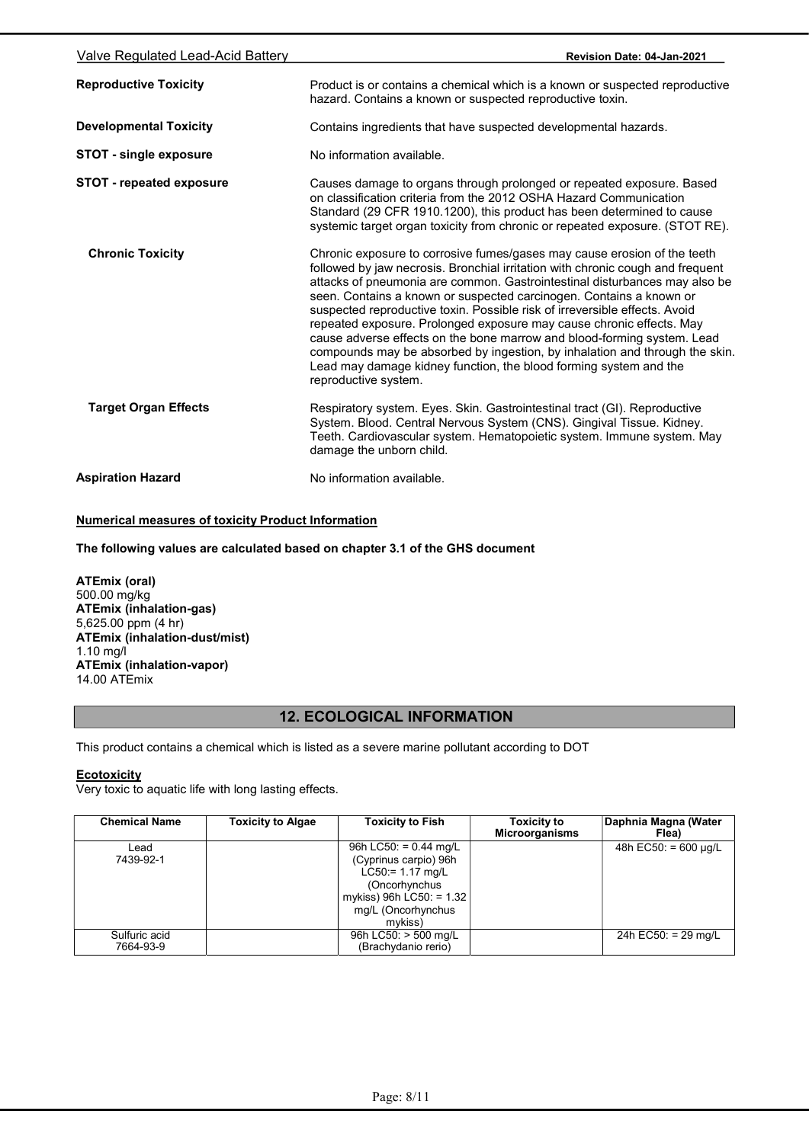| Valve Regulated Lead-Acid Battery | Revision Date: 04-Jan-2021                                                                                                                                                                                                                                                                                                                                                                                                                                                                                                                                                                                                                                                                                                   |
|-----------------------------------|------------------------------------------------------------------------------------------------------------------------------------------------------------------------------------------------------------------------------------------------------------------------------------------------------------------------------------------------------------------------------------------------------------------------------------------------------------------------------------------------------------------------------------------------------------------------------------------------------------------------------------------------------------------------------------------------------------------------------|
| <b>Reproductive Toxicity</b>      | Product is or contains a chemical which is a known or suspected reproductive<br>hazard. Contains a known or suspected reproductive toxin.                                                                                                                                                                                                                                                                                                                                                                                                                                                                                                                                                                                    |
| <b>Developmental Toxicity</b>     | Contains ingredients that have suspected developmental hazards.                                                                                                                                                                                                                                                                                                                                                                                                                                                                                                                                                                                                                                                              |
| <b>STOT - single exposure</b>     | No information available.                                                                                                                                                                                                                                                                                                                                                                                                                                                                                                                                                                                                                                                                                                    |
| <b>STOT - repeated exposure</b>   | Causes damage to organs through prolonged or repeated exposure. Based<br>on classification criteria from the 2012 OSHA Hazard Communication<br>Standard (29 CFR 1910.1200), this product has been determined to cause<br>systemic target organ toxicity from chronic or repeated exposure. (STOT RE).                                                                                                                                                                                                                                                                                                                                                                                                                        |
| <b>Chronic Toxicity</b>           | Chronic exposure to corrosive fumes/gases may cause erosion of the teeth<br>followed by jaw necrosis. Bronchial irritation with chronic cough and frequent<br>attacks of pneumonia are common. Gastrointestinal disturbances may also be<br>seen. Contains a known or suspected carcinogen. Contains a known or<br>suspected reproductive toxin. Possible risk of irreversible effects. Avoid<br>repeated exposure. Prolonged exposure may cause chronic effects. May<br>cause adverse effects on the bone marrow and blood-forming system. Lead<br>compounds may be absorbed by ingestion, by inhalation and through the skin.<br>Lead may damage kidney function, the blood forming system and the<br>reproductive system. |
| <b>Target Organ Effects</b>       | Respiratory system. Eyes. Skin. Gastrointestinal tract (GI). Reproductive<br>System. Blood. Central Nervous System (CNS). Gingival Tissue. Kidney.<br>Teeth. Cardiovascular system. Hematopoietic system. Immune system. May<br>damage the unborn child.                                                                                                                                                                                                                                                                                                                                                                                                                                                                     |
| <b>Aspiration Hazard</b>          | No information available.                                                                                                                                                                                                                                                                                                                                                                                                                                                                                                                                                                                                                                                                                                    |

# Numerical measures of toxicity Product Information

The following values are calculated based on chapter 3.1 of the GHS document

ATEmix (oral) 500.00 mg/kg ATEmix (inhalation-gas) 5,625.00 ppm (4 hr) ATEmix (inhalation-dust/mist) 1.10 mg/l ATEmix (inhalation-vapor) 14.00 ATEmix

# 12. ECOLOGICAL INFORMATION

This product contains a chemical which is listed as a severe marine pollutant according to DOT

# **Ecotoxicity**

Very toxic to aquatic life with long lasting effects.

| <b>Chemical Name</b>       | <b>Toxicity to Algae</b> | <b>Toxicity to Fish</b>                                                                                                                              | <b>Toxicity to</b><br><b>Microorganisms</b> | Daphnia Magna (Water<br>Flea) |
|----------------------------|--------------------------|------------------------------------------------------------------------------------------------------------------------------------------------------|---------------------------------------------|-------------------------------|
| ∟ead<br>7439-92-1          |                          | 96h LC50: = $0.44$ mg/L<br>(Cyprinus carpio) 96h<br>$LC50 = 1.17$ mg/L<br>(Oncorhynchus<br>mykiss) 96h LC50: = 1.32<br>mg/L (Oncorhynchus<br>mvkiss) |                                             | 48h EC50: = 600 $\mu q/L$     |
| Sulfuric acid<br>7664-93-9 |                          | 96h LC50: > 500 mg/L<br>(Brachydanio rerio)                                                                                                          |                                             | 24h EC50: = 29 mg/L           |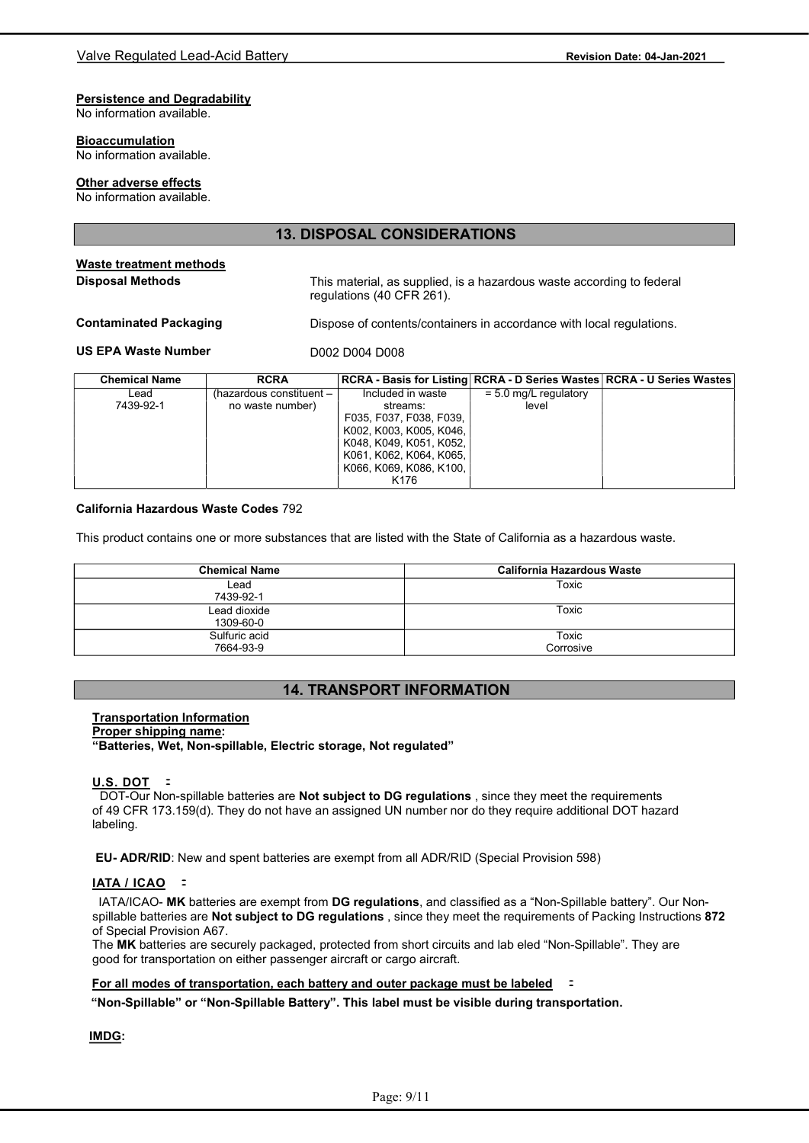# Persistence and Degradability

No information available.

#### **Bioaccumulation**

No information available.

#### Other adverse effects

No information available.

# 13. DISPOSAL CONSIDERATIONS

#### Waste treatment methods Disposal Methods

This material, as supplied, is a hazardous waste according to federal regulations (40 CFR 261).

### Contaminated Packaging

Dispose of contents/containers in accordance with local regulations.

#### US EPA Waste Number

| <b>Chemical Name</b> | <b>RCRA</b>              |                         |                         | RCRA - Basis for Listing   RCRA - D Series Wastes   RCRA - U Series Wastes |
|----------------------|--------------------------|-------------------------|-------------------------|----------------------------------------------------------------------------|
| Lead                 | (hazardous constituent – | Included in waste       | $= 5.0$ mg/L regulatory |                                                                            |
| 7439-92-1            | no waste number)         | streams:                | level                   |                                                                            |
|                      |                          | F035, F037, F038, F039, |                         |                                                                            |
|                      |                          | K002, K003, K005, K046, |                         |                                                                            |
|                      |                          | K048, K049, K051, K052, |                         |                                                                            |
|                      |                          | K061, K062, K064, K065, |                         |                                                                            |
|                      |                          | K066, K069, K086, K100, |                         |                                                                            |
|                      |                          | K176                    |                         |                                                                            |

#### California Hazardous Waste Codes 792

This product contains one or more substances that are listed with the State of California as a hazardous waste.

D002 D004 D008

| <b>Chemical Name</b> | California Hazardous Waste |
|----------------------|----------------------------|
| Lead                 | Toxic                      |
| 7439-92-1            |                            |
| Lead dioxide         | Toxic                      |
| 1309-60-0            |                            |
| Sulfuric acid        | Toxic                      |
| 7664-93-9            | Corrosive                  |

# 14. TRANSPORT INFORMATION

## Transportation Information

#### Proper shipping name:

"Batteries, Wet, Non-spillable, Electric storage, Not regulated"

<sup>U</sup>.S. DOT: DOT-Our Non-spillable batteries are Not subject to DG regulations , since they meet the requirements of 49 CFR 173.159(d). They do not have an assigned UN number nor do they require additional DOT hazard labeling.

EU- ADR/RID: New and spent batteries are exempt from all ADR/RID (Special Provision 598)<br><u>IATA / ICAO</u> =

IATA/ICAO- MK batteries are exempt from DG regulations, and classified as a "Non-Spillable battery". Our Nonspillable batteries are Not subject to DG regulations, since they meet the requirements of Packing Instructions 872 of Special Provision A67.

The MK batteries are securely packaged, protected from short circuits and lab eled "Non-Spillable". They are good for transportation on either passenger aircraft or cargo aircraft.

## Fo<sup>r</sup> <sup>a</sup>ll modes of transportation, each battery <sup>a</sup>nd outer packag<sup>e</sup> <sup>m</sup>ust be labele<sup>d</sup>:

"Non-Spillable" or "Non-Spillable Battery". This label must be visible during transportation.

IMDG: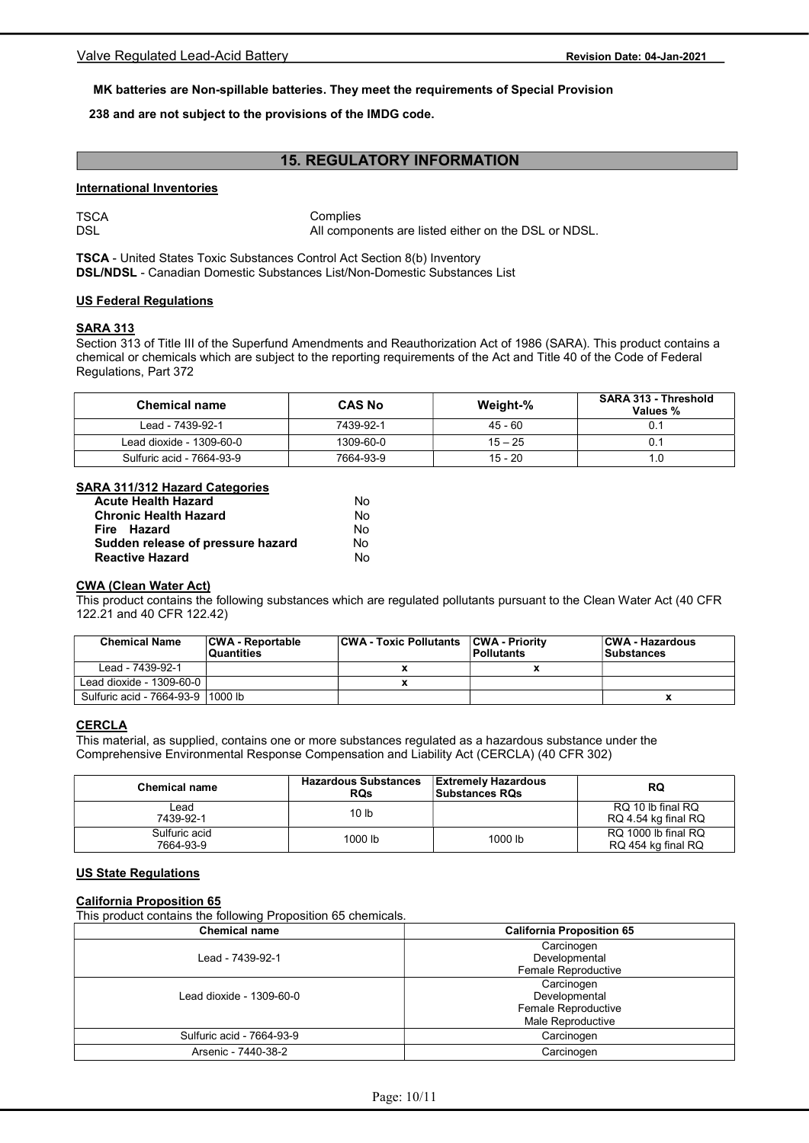# MK batteries are Non-spillable batteries. They meet the requirements of Special Provision

# 238 and are not subject to the provisions of the IMDG code.

# 15. REGULATORY INFORMATION

#### International Inventories

**TSCA** DSL

**Complies** All components are listed either on the DSL or NDSL.

TSCA - United States Toxic Substances Control Act Section 8(b) Inventory DSL/NDSL - Canadian Domestic Substances List/Non-Domestic Substances List

#### US Federal Regulations

## SARA 313

Section 313 of Title III of the Superfund Amendments and Reauthorization Act of 1986 (SARA). This product contains a chemical or chemicals which are subject to the reporting requirements of the Act and Title 40 of the Code of Federal Regulations, Part 372

| <b>Chemical name</b>      | <b>CAS No</b> | Weight-%  | SARA 313 - Threshold<br>Values % |
|---------------------------|---------------|-----------|----------------------------------|
| Lead - 7439-92-1          | 7439-92-1     | 45 - 60   |                                  |
| Lead dioxide - 1309-60-0  | 1309-60-0     | $15 - 25$ |                                  |
| Sulfuric acid - 7664-93-9 | 7664-93-9     | $15 - 20$ | 1.0                              |

## SARA 311/312 Hazard Categories

| <b>Acute Health Hazard</b>        | No |
|-----------------------------------|----|
| <b>Chronic Health Hazard</b>      | N٥ |
| Fire Hazard                       | No |
| Sudden release of pressure hazard | No |
| <b>Reactive Hazard</b>            | N٥ |

#### CWA (Clean Water Act)

This product contains the following substances which are regulated pollutants pursuant to the Clean Water Act (40 CFR 122.21 and 40 CFR 122.42)

| <b>Chemical Name</b>               | <b>CWA - Reportable</b><br><b>Quantities</b> | <b>CWA - Toxic Pollutants</b> | <b>CWA - Priority</b><br><b>Pollutants</b> | <b>CWA - Hazardous</b><br><b>Substances</b> |
|------------------------------------|----------------------------------------------|-------------------------------|--------------------------------------------|---------------------------------------------|
| Lead - 7439-92-1                   |                                              |                               |                                            |                                             |
| Lead dioxide - 1309-60-0           |                                              |                               |                                            |                                             |
| Sulfuric acid - 7664-93-9 11000 lb |                                              |                               |                                            |                                             |

# **CERCLA**

This material, as supplied, contains one or more substances regulated as a hazardous substance under the Comprehensive Environmental Response Compensation and Liability Act (CERCLA) (40 CFR 302)

| <b>Chemical name</b>       | <b>Hazardous Substances</b><br><b>RQs</b> | <b>Extremely Hazardous</b><br><b>Substances RQs</b> | <b>RQ</b>                                 |
|----------------------------|-------------------------------------------|-----------------------------------------------------|-------------------------------------------|
| ∟ead<br>7439-92-1          | 10 <sub>lb</sub>                          |                                                     | RQ 10 lb final RQ<br>RQ 4.54 kg final RQ  |
| Sulfuric acid<br>7664-93-9 | 1000 lb                                   | 1000 lb                                             | RQ 1000 lb final RQ<br>RQ 454 kg final RQ |

# US State Regulations

### California Proposition 65

This product contains the following Proposition 65 chemicals.

| <b>Chemical name</b>      | <b>California Proposition 65</b>                                        |
|---------------------------|-------------------------------------------------------------------------|
| Lead - 7439-92-1          | Carcinogen<br>Developmental<br>Female Reproductive                      |
| Lead dioxide - 1309-60-0  | Carcinogen<br>Developmental<br>Female Reproductive<br>Male Reproductive |
| Sulfuric acid - 7664-93-9 | Carcinogen                                                              |
| Arsenic - 7440-38-2       | Carcinogen                                                              |